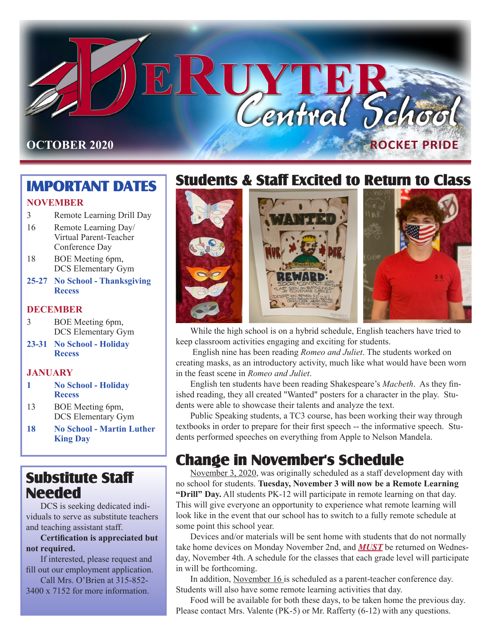

# **IMPORTANT DATES**

#### **NOVEMBER**

- 3 Remote Learning Drill Day
- 16 Remote Learning Day/ Virtual Parent-Teacher Conference Day
- 18 BOE Meeting 6pm, DCS Elementary Gym
- **25-27 No School Thanksgiving Recess**

#### **DECEMBER**

- 3 BOE Meeting 6pm, DCS Elementary Gym
- **23-31 No School Holiday Recess**

#### **JANUARY**

- **1 No School Holiday Recess**
- 13 BOE Meeting 6pm, DCS Elementary Gym
- **18 No School Martin Luther King Day**

# **Substitute Staff Needed**

DCS is seeking dedicated individuals to serve as substitute teachers and teaching assistant staff.

**Certification is appreciated but not required.**

If interested, please request and fill out our employment application.

Call Mrs. O'Brien at 315-852- 3400 x 7152 for more information.

# **Students & Staff Excited to Return to Class**



While the high school is on a hybrid schedule, English teachers have tried to keep classroom activities engaging and exciting for students.

 English nine has been reading *Romeo and Juliet*. The students worked on creating masks, as an introductory activity, much like what would have been worn in the feast scene in *Romeo and Juliet*.

English ten students have been reading Shakespeare's *Macbeth*. As they finished reading, they all created "Wanted" posters for a character in the play. Students were able to showcase their talents and analyze the text.

Public Speaking students, a TC3 course, has been working their way through textbooks in order to prepare for their first speech -- the informative speech. Students performed speeches on everything from Apple to Nelson Mandela.

# **Change in November's Schedule**

November 3, 2020, was originally scheduled as a staff development day with no school for students. **Tuesday, November 3 will now be a Remote Learning "Drill" Day.** All students PK-12 will participate in remote learning on that day. This will give everyone an opportunity to experience what remote learning will look like in the event that our school has to switch to a fully remote schedule at some point this school year.

Devices and/or materials will be sent home with students that do not normally take home devices on Monday November 2nd, and *MUST* be returned on Wednesday, November 4th. A schedule for the classes that each grade level will participate in will be forthcoming.

In addition, November 16 is scheduled as a parent-teacher conference day. Students will also have some remote learning activities that day.

Food will be available for both these days, to be taken home the previous day. Please contact Mrs. Valente (PK-5) or Mr. Rafferty (6-12) with any questions.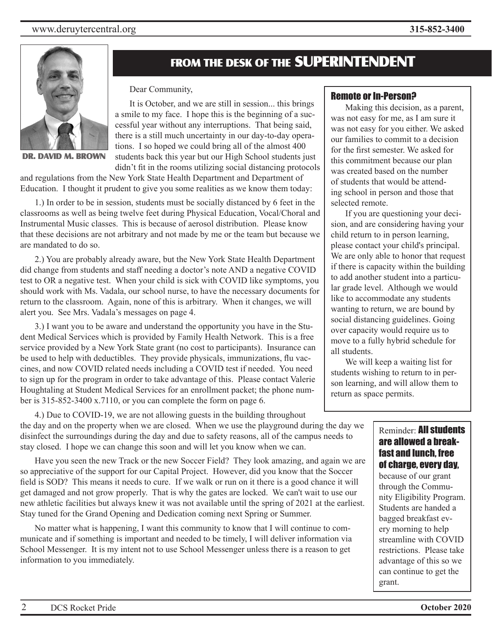#### www.deruytercentral.org **315-852-3400**



**DR. DAVID M. BROWN**

## **FROM THE DESK OF THE SUPERINTENDENT**

Dear Community,

It is October, and we are still in session... this brings a smile to my face. I hope this is the beginning of a successful year without any interruptions. That being said, there is a still much uncertainty in our day-to-day operations. I so hoped we could bring all of the almost 400 students back this year but our High School students just didn't fit in the rooms utilizing social distancing protocols

and regulations from the New York State Health Department and Department of Education. I thought it prudent to give you some realities as we know them today:

1.) In order to be in session, students must be socially distanced by 6 feet in the classrooms as well as being twelve feet during Physical Education, Vocal/Choral and Instrumental Music classes. This is because of aerosol distribution. Please know that these decisions are not arbitrary and not made by me or the team but because we are mandated to do so.

2.) You are probably already aware, but the New York State Health Department did change from students and staff needing a doctor's note AND a negative COVID test to OR a negative test. When your child is sick with COVID like symptoms, you should work with Ms. Vadala, our school nurse, to have the necessary documents for return to the classroom. Again, none of this is arbitrary. When it changes, we will alert you. See Mrs. Vadala's messages on page 4.

3.) I want you to be aware and understand the opportunity you have in the Student Medical Services which is provided by Family Health Network. This is a free service provided by a New York State grant (no cost to participants). Insurance can be used to help with deductibles. They provide physicals, immunizations, flu vaccines, and now COVID related needs including a COVID test if needed. You need to sign up for the program in order to take advantage of this. Please contact Valerie Houghtaling at Student Medical Services for an enrollment packet; the phone number is 315-852-3400 x.7110, or you can complete the form on page 6.

4.) Due to COVID-19, we are not allowing guests in the building throughout the day and on the property when we are closed. When we use the playground during the day we disinfect the surroundings during the day and due to safety reasons, all of the campus needs to stay closed. I hope we can change this soon and will let you know when we can.

Have you seen the new Track or the new Soccer Field? They look amazing, and again we are so appreciative of the support for our Capital Project. However, did you know that the Soccer field is SOD? This means it needs to cure. If we walk or run on it there is a good chance it will get damaged and not grow properly. That is why the gates are locked. We can't wait to use our new athletic facilities but always knew it was not available until the spring of 2021 at the earliest. Stay tuned for the Grand Opening and Dedication coming next Spring or Summer.

No matter what is happening, I want this community to know that I will continue to communicate and if something is important and needed to be timely, I will deliver information via School Messenger. It is my intent not to use School Messenger unless there is a reason to get information to you immediately.

#### Remote or In-Person?

Making this decision, as a parent, was not easy for me, as I am sure it was not easy for you either. We asked our families to commit to a decision for the first semester. We asked for this commitment because our plan was created based on the number of students that would be attending school in person and those that selected remote.

If you are questioning your decision, and are considering having your child return to in person learning, please contact your child's principal. We are only able to honor that request if there is capacity within the building to add another student into a particular grade level. Although we would like to accommodate any students wanting to return, we are bound by social distancing guidelines. Going over capacity would require us to move to a fully hybrid schedule for all students.

We will keep a waiting list for students wishing to return to in person learning, and will allow them to return as space permits.

#### Reminder: All students are allowed a breakfast and lunch, free of charge, every day,

because of our grant through the Community Eligibility Program. Students are handed a bagged breakfast every morning to help streamline with COVID restrictions. Please take advantage of this so we can continue to get the grant.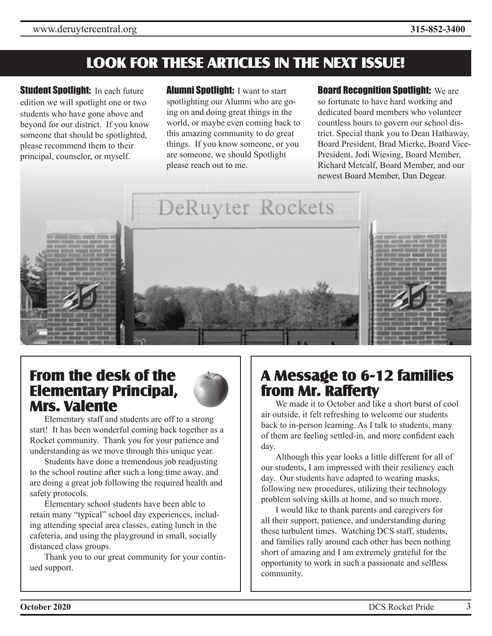# **LOOK FOR THESE ARTICLES IN THE NEXT ISSUE!**

**Student Spotlight:** In each future edition we will spotlight one or two students who have gone above and beyond for our district. If you know someone that should be spotlighted, please recommend them to their principal, counselor, or myself.

**Alumni Spotlight: I want to start** spotlighting our Alumni who are going on and doing great things in the world, or maybe even coming back to this amazing community to do great things. If you know someone, or you are someone, we should Spotlight please reach out to me.

**Board Recognition Spotlight:** We are so fortunate to have hard working and dedicated board members who volunteer countless hours to govern our school district. Special thank you to Dean Hathaway, Board President, Brad Mierke, Board Vice-President, Jodi Wiesing, Board Member, Richard Metcalf, Board Member, and our newest Board Member, Dan Degear.



DeRuyter Rockets





Elementary staff and students are off to a strong start! It has been wonderful coming back together as a Rocket community. Thank you for your patience and understanding as we move through this unique year.

Students have done a tremendous job readjusting to the school routine after such a long time away, and are doing a great job following the required health and safety protocols.

Elementary school students have been able to retain many "typical" school day experiences, including attending special area classes, eating lunch in the cafeteria, and using the playground in small, socially distanced class groups.

Thank you to our great community for your continued support.

# **A Message to 6-12 families from Mr. Rafferty**

We made it to October and like a short burst of cool air outside, it felt refreshing to welcome our students back to in-person learning. As I talk to students, many of them are feeling settled-in, and more confident each day.

Although this year looks a little different for all of our students, I am impressed with their resiliency each day. Our students have adapted to wearing masks, following new procedures, utilizing their technology problem solving skills at home, and so much more.

I would like to thank parents and caregivers for all their support, patience, and understanding during these turbulent times. Watching DCS staff, students, and families rally around each other has been nothing short of amazing and I am extremely grateful for the opportunity to work in such a passionate and selfless community.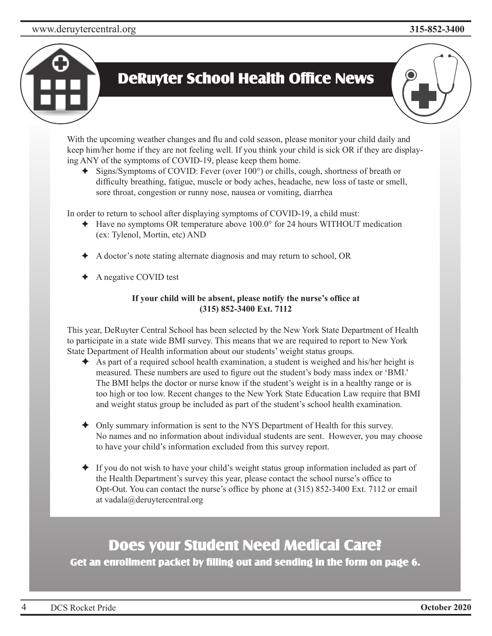### www.deruytercentral.org **315-852-3400**

# **DeRuyter School Health Office News**

With the upcoming weather changes and flu and cold season, please monitor your child daily and keep him/her home if they are not feeling well. If you think your child is sick OR if they are displaying ANY of the symptoms of COVID-19, please keep them home.

✦ Signs/Symptoms of COVID: Fever (over 100°) or chills, cough, shortness of breath or difficulty breathing, fatigue, muscle or body aches, headache, new loss of taste or smell, sore throat, congestion or runny nose, nausea or vomiting, diarrhea

In order to return to school after displaying symptoms of COVID-19, a child must:

- ✦ Have no symptoms OR temperature above 100.0° for 24 hours WITHOUT medication (ex: Tylenol, Mortin, etc) AND
- ✦ A doctor's note stating alternate diagnosis and may return to school, OR
- ✦ A negative COVID test

#### **If your child will be absent, please notify the nurse's office at (315) 852-3400 Ext. 7112**

This year, DeRuyter Central School has been selected by the New York State Department of Health to participate in a state wide BMI survey. This means that we are required to report to New York State Department of Health information about our students' weight status groups.

- $\triangle$  As part of a required school health examination, a student is weighed and his/her height is measured. These numbers are used to figure out the student's body mass index or 'BMI.' The BMI helps the doctor or nurse know if the student's weight is in a healthy range or is too high or too low. Recent changes to the New York State Education Law require that BMI and weight status group be included as part of the student's school health examination.
- ✦ Only summary information is sent to the NYS Department of Health for this survey. No names and no information about individual students are sent. However, you may choose to have your child's information excluded from this survey report.
- $\triangleq$  If you do not wish to have your child's weight status group information included as part of the Health Department's survey this year, please contact the school nurse's office to Opt-Out. You can contact the nurse's office by phone at (315) 852-3400 Ext. 7112 or email at vadala@deruytercentral.org

# **Does your Student Need Medical Care?**

**Get an enrollment packet by filling out and sending in the form on page 6.**

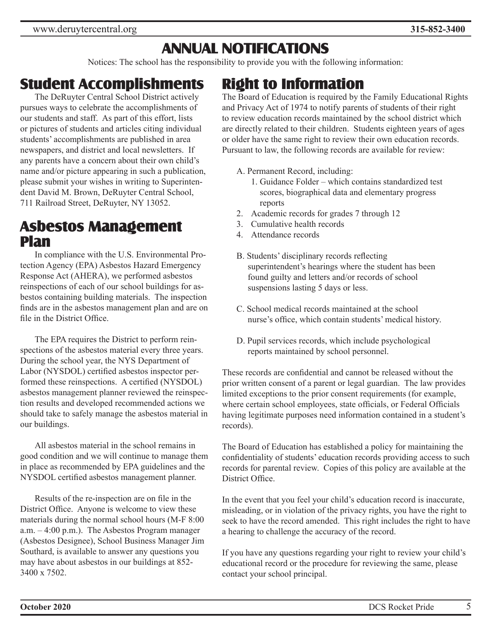# **ANNUAL NOTIFICATIONS**

Notices: The school has the responsibility to provide you with the following information:

# **Student Accomplishments**

The DeRuyter Central School District actively pursues ways to celebrate the accomplishments of our students and staff. As part of this effort, lists or pictures of students and articles citing individual students' accomplishments are published in area newspapers, and district and local newsletters. If any parents have a concern about their own child's name and/or picture appearing in such a publication, please submit your wishes in writing to Superintendent David M. Brown, DeRuyter Central School, 711 Railroad Street, DeRuyter, NY 13052.

# **Asbestos Management Plan**

In compliance with the U.S. Environmental Protection Agency (EPA) Asbestos Hazard Emergency Response Act (AHERA), we performed asbestos reinspections of each of our school buildings for asbestos containing building materials. The inspection finds are in the asbestos management plan and are on file in the District Office.

The EPA requires the District to perform reinspections of the asbestos material every three years. During the school year, the NYS Department of Labor (NYSDOL) certified asbestos inspector performed these reinspections. A certified (NYSDOL) asbestos management planner reviewed the reinspection results and developed recommended actions we should take to safely manage the asbestos material in our buildings.

All asbestos material in the school remains in good condition and we will continue to manage them in place as recommended by EPA guidelines and the NYSDOL certified asbestos management planner.

Results of the re-inspection are on file in the District Office. Anyone is welcome to view these materials during the normal school hours (M-F 8:00 a.m. – 4:00 p.m.). The Asbestos Program manager (Asbestos Designee), School Business Manager Jim Southard, is available to answer any questions you may have about asbestos in our buildings at 852- 3400 x 7502.

# **Right to Information**

The Board of Education is required by the Family Educational Rights and Privacy Act of 1974 to notify parents of students of their right to review education records maintained by the school district which are directly related to their children. Students eighteen years of ages or older have the same right to review their own education records. Pursuant to law, the following records are available for review:

- A. Permanent Record, including:
	- 1. Guidance Folder which contains standardized test scores, biographical data and elementary progress reports
- 2. Academic records for grades 7 through 12
- 3. Cumulative health records
- 4. Attendance records
- B. Students' disciplinary records reflecting superintendent's hearings where the student has been found guilty and letters and/or records of school suspensions lasting 5 days or less.
- C. School medical records maintained at the school nurse's office, which contain students' medical history.
- D. Pupil services records, which include psychological reports maintained by school personnel.

These records are confidential and cannot be released without the prior written consent of a parent or legal guardian. The law provides limited exceptions to the prior consent requirements (for example, where certain school employees, state officials, or Federal Officials having legitimate purposes need information contained in a student's records).

The Board of Education has established a policy for maintaining the confidentiality of students' education records providing access to such records for parental review. Copies of this policy are available at the District Office.

In the event that you feel your child's education record is inaccurate, misleading, or in violation of the privacy rights, you have the right to seek to have the record amended. This right includes the right to have a hearing to challenge the accuracy of the record.

If you have any questions regarding your right to review your child's educational record or the procedure for reviewing the same, please contact your school principal.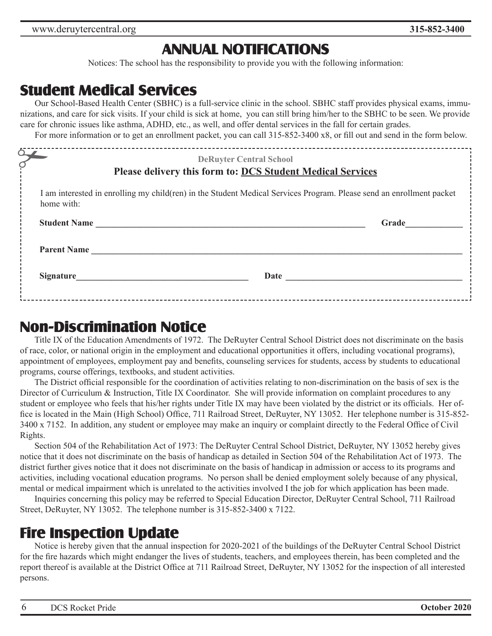# **ANNUAL NOTIFICATIONS**

Notices: The school has the responsibility to provide you with the following information:

## **Student Medical Services**

Our School-Based Health Center (SBHC) is a full-service clinic in the school. SBHC staff provides physical exams, immunizations, and care for sick visits. If your child is sick at home, you can still bring him/her to the SBHC to be seen. We provide care for chronic issues like asthma, ADHD, etc., as well, and offer dental services in the fall for certain grades.

For more information or to get an enrollment packet, you can call 315-852-3400 x8, or fill out and send in the form below.

| $\Delta$                                                                                                                           | ----------------------<br><b>DeRuyter Central School</b><br>Please delivery this form to: DCS Student Medical Services |       |
|------------------------------------------------------------------------------------------------------------------------------------|------------------------------------------------------------------------------------------------------------------------|-------|
| I am interested in enrolling my child(ren) in the Student Medical Services Program. Please send an enrollment packet<br>home with: |                                                                                                                        |       |
| <b>Student Name</b>                                                                                                                |                                                                                                                        | Grade |
| <b>Parent Name</b>                                                                                                                 |                                                                                                                        |       |
| <b>Signature</b>                                                                                                                   |                                                                                                                        |       |
|                                                                                                                                    |                                                                                                                        |       |

### **Non-Discrimination Notice**

Title IX of the Education Amendments of 1972. The DeRuyter Central School District does not discriminate on the basis of race, color, or national origin in the employment and educational opportunities it offers, including vocational programs), appointment of employees, employment pay and benefits, counseling services for students, access by students to educational programs, course offerings, textbooks, and student activities.

The District official responsible for the coordination of activities relating to non-discrimination on the basis of sex is the Director of Curriculum & Instruction, Title IX Coordinator. She will provide information on complaint procedures to any student or employee who feels that his/her rights under Title IX may have been violated by the district or its officials. Her office is located in the Main (High School) Office, 711 Railroad Street, DeRuyter, NY 13052. Her telephone number is 315-852- 3400 x 7152. In addition, any student or employee may make an inquiry or complaint directly to the Federal Office of Civil Rights.

Section 504 of the Rehabilitation Act of 1973: The DeRuyter Central School District, DeRuyter, NY 13052 hereby gives notice that it does not discriminate on the basis of handicap as detailed in Section 504 of the Rehabilitation Act of 1973. The district further gives notice that it does not discriminate on the basis of handicap in admission or access to its programs and activities, including vocational education programs. No person shall be denied employment solely because of any physical, mental or medical impairment which is unrelated to the activities involved I the job for which application has been made.

Inquiries concerning this policy may be referred to Special Education Director, DeRuyter Central School, 711 Railroad Street, DeRuyter, NY 13052. The telephone number is 315-852-3400 x 7122.

### **Fire Inspection Update**

Notice is hereby given that the annual inspection for 2020-2021 of the buildings of the DeRuyter Central School District for the fire hazards which might endanger the lives of students, teachers, and employees therein, has been completed and the report thereof is available at the District Office at 711 Railroad Street, DeRuyter, NY 13052 for the inspection of all interested persons.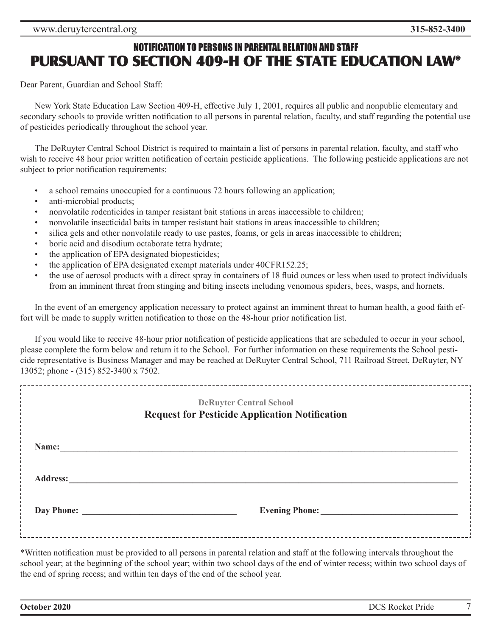### NOTIFICATION TO PERSONS IN PARENTAL RELATION AND STAFF **PURSUANT TO SECTION 409-H OF THE STATE EDUCATION LAW\***

Dear Parent, Guardian and School Staff:

New York State Education Law Section 409-H, effective July 1, 2001, requires all public and nonpublic elementary and secondary schools to provide written notification to all persons in parental relation, faculty, and staff regarding the potential use of pesticides periodically throughout the school year.

The DeRuyter Central School District is required to maintain a list of persons in parental relation, faculty, and staff who wish to receive 48 hour prior written notification of certain pesticide applications. The following pesticide applications are not subject to prior notification requirements:

- a school remains unoccupied for a continuous 72 hours following an application;
- anti-microbial products:
- nonvolatile rodenticides in tamper resistant bait stations in areas inaccessible to children;
- nonvolatile insecticidal baits in tamper resistant bait stations in areas inaccessible to children;
- silica gels and other nonvolatile ready to use pastes, foams, or gels in areas inaccessible to children;
- boric acid and disodium octaborate tetra hydrate;
- the application of EPA designated biopesticides;
- the application of EPA designated exempt materials under 40CFR152.25;
- the use of aerosol products with a direct spray in containers of 18 fluid ounces or less when used to protect individuals from an imminent threat from stinging and biting insects including venomous spiders, bees, wasps, and hornets.

In the event of an emergency application necessary to protect against an imminent threat to human health, a good faith effort will be made to supply written notification to those on the 48-hour prior notification list.

If you would like to receive 48-hour prior notification of pesticide applications that are scheduled to occur in your school, please complete the form below and return it to the School. For further information on these requirements the School pesticide representative is Business Manager and may be reached at DeRuyter Central School, 711 Railroad Street, DeRuyter, NY 13052; phone - (315) 852-3400 x 7502.

| <b>DeRuyter Central School</b><br><b>Request for Pesticide Application Notification</b> |                                     |  |
|-----------------------------------------------------------------------------------------|-------------------------------------|--|
| Name:                                                                                   |                                     |  |
| <b>Address:</b>                                                                         |                                     |  |
|                                                                                         | <b>Evening Phone:</b><br>Day Phone: |  |

\*Written notification must be provided to all persons in parental relation and staff at the following intervals throughout the school year; at the beginning of the school year; within two school days of the end of winter recess; within two school days of the end of spring recess; and within ten days of the end of the school year.